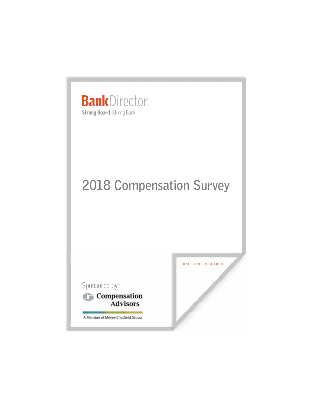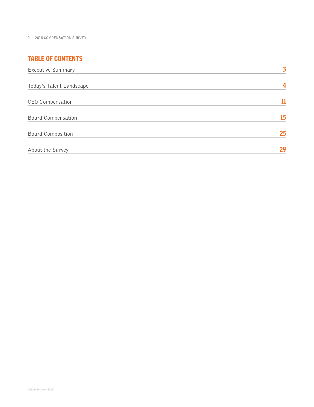# TABLE OF CONTENTS

| Executive Summary         | 3  |
|---------------------------|----|
| Today's Talent Landscape  | 4  |
| CEO Compensation          | 11 |
| <b>Board Compensation</b> | 15 |
| <b>Board Composition</b>  | 25 |
| About the Survey          | 29 |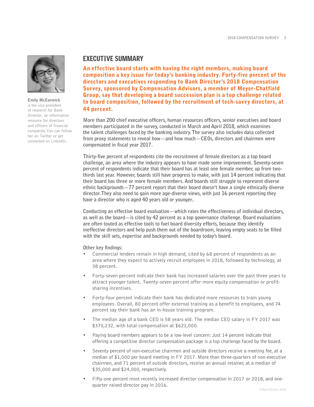

**Emily McCormick**

is the vice president of research for Bank Director, an information resource for directors and officers of financial companies.You can follow her on Twitter or get connected on LinkedIn.

# EXECUTIVE SUMMARY

**composition a key issue for today's banking industry. Forty-five percent of the directors and executives responding to Bank Director's 2018 Compensation Survey, sponsored by Compensation Advisors, a member of Meyer-Chatfield Group, say that developing a board succession plan is a top challenge related to board composition, followed by the recruitment of tech-savvy directors, at 44 percent.**

**More than 200 chief executive officers, human resources officers, senior executives and board members participated in the survey, conducted in March and April 2018, which examines the talent challenges faced by the banking industry. The survey also includes data collected from proxy statements to reveal how—and how much—CEOs, directors and chairmen were compensated in fiscal year 2017.** 

**An effective board starts with having the irigit members, making board at the right members, making board starts with having the right members particle and executive responding to Bank Director's 2018 Compensation and ver Thirty-five percent of respondents cite the recruitment of female directors as a top board challenge, an area where the industry appears to have made some improvement. Seventy-seven percent of respondents indicate that their board has at least one female member, up from twothirds last year. However, boards still have progress to make, with just 14 percent indicating that their board has three or more female members. And boards still struggle to represent diverse ethnic backgrounds—77 percent report that their board doesn't have a single ethnically diverse director. They also need to gain more age-diverse views, with just 16 percent reporting they have a director who is aged 40 years old or younger..**

**Conducting an effective board evaluation—which rates the effectiveness of individual directors, as well as the board—is cited by 42 percent as a top governance challenge. Board evaluations are often touted as effective tools to fuel board diversity efforts, because they identify ineffective directors and help push them out of the boardroom, leaving empty seats to be filled with the skill sets, expertise and backgrounds needed by today's board.**

**Other key findings:** 

- Commercial lenders remain in high demand, cited by 68 percent of respondents as an area where they expect to actively recruit employees in 2018, followed by technology, at 38 percent.
- Forty-seven percent indicate their bank has increased salaries over the past three years to attract younger talent. Twenty-seven percent offer more equity compensation or profitsharing incentives.
- Forty-four percent indicate their bank has dedicated more resources to train young employees. Overall, 80 percent offer external training as a benefit to employees, and 74 percent say their bank has an in-house training program.
- The median age of a bank CEO is 58 years old. The median CEO salary in FY 2017 was \$370,232, with total compensation at \$621,000.
- Paying board members appears to be a low-level concern: Just 14 percent indicate that offering a competitive director compensation package is a top challenge faced by the board.
- Seventy percent of non-executive chairmen and outside directors receive a meeting fee, at a median of \$1,000 per board meeting in FY 2017. More than three-quarters of non-executive chairmen, and 71 percent of outside directors, receive an annual retainer, at a median of \$35,000 and \$24,000, respectively.
- Fifty-one percent most recently increased director compensation in 2017 or 2018, and onequarter raised director pay in 2016.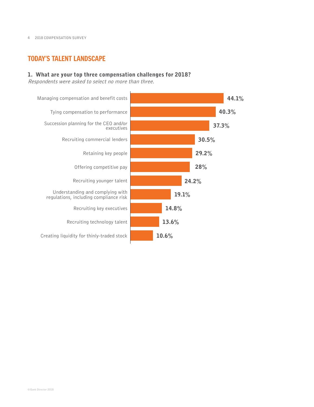# TODAY'S TALENT LANDSCAPE

### **1. What are your top three compensation challenges for 2018?**

Respondents were asked to select no more than three.

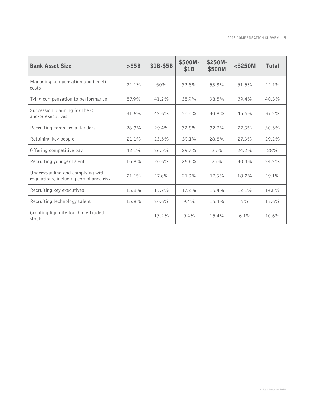| <b>Bank Asset Size</b>                                                     | $>$ \$5B | \$1B-\$5B | \$500M-<br>\$1B | \$250M-<br>\$500M | $<$ \$250M | <b>Total</b> |
|----------------------------------------------------------------------------|----------|-----------|-----------------|-------------------|------------|--------------|
| Managing compensation and benefit<br>costs                                 | 21.1%    | 50%       | 32.8%           | 53.8%             | 51.5%      | 44.1%        |
| Tying compensation to performance                                          | 57.9%    | 41.2%     | 35.9%           | 38.5%             | 39.4%      | 40.3%        |
| Succession planning for the CEO<br>and/or executives                       | 31.6%    | 42.6%     | 34.4%           | 30.8%             | 45.5%      | 37.3%        |
| Recruiting commercial lenders                                              | 26.3%    | 29.4%     | 32.8%           | 32.7%             | 27.3%      | 30.5%        |
| Retaining key people                                                       | 21.1%    | 23.5%     | 39.1%           | 28.8%             | 27.3%      | 29.2%        |
| Offering competitive pay                                                   | 42.1%    | 26.5%     | 29.7%           | 25%               | 24.2%      | 28%          |
| Recruiting younger talent                                                  | 15.8%    | 20.6%     | 26.6%           | 25%               | 30.3%      | 24.2%        |
| Understanding and complying with<br>regulations, including compliance risk | 21.1%    | 17.6%     | 21.9%           | 17.3%             | 18.2%      | 19.1%        |
| Recruiting key executives                                                  | 15.8%    | 13.2%     | 17.2%           | 15.4%             | 12.1%      | 14.8%        |
| Recruiting technology talent                                               | 15.8%    | 20.6%     | 9.4%            | 15.4%             | 3%         | 13.6%        |
| Creating liquidity for thinly-traded<br>stock                              |          | 13.2%     | 9.4%            | 15.4%             | 6.1%       | 10.6%        |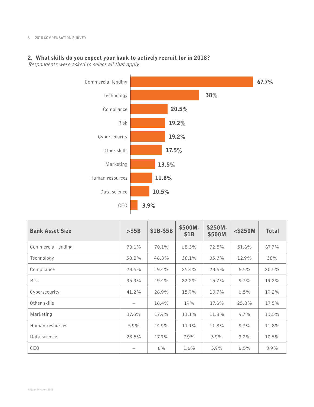### **2. What skills do you expect your bank to actively recruit for in 2018?**

Respondents were asked to select all that apply.



| <b>Bank Asset Size</b> | > \$5B                          | \$1B-\$5B | \$500M-<br>\$1B | $$250M-$<br>\$500M | $<$ \$250M | <b>Total</b> |
|------------------------|---------------------------------|-----------|-----------------|--------------------|------------|--------------|
| Commercial lending     | 70.6%                           | 70.1%     | 68.3%           | 72.5%              | 51.6%      | $67.7\%$     |
| Technology             | 58.8%                           | 46.3%     | 38.1%           | 35.3%              | 12.9%      | 38%          |
| Compliance             | 23.5%                           | 19.4%     | 25.4%           | 23.5%              | 6.5%       | 20.5%        |
| <b>Risk</b>            | 35.3%                           | 19.4%     | 22.2%           | 15.7%              | $9.7\%$    | 19.2%        |
| Cybersecurity          | 41.2%                           | 26.9%     | 15.9%           | 13.7%              | 6.5%       | 19.2%        |
| Other skills           | $\hspace{0.1mm}-\hspace{0.1mm}$ | 16.4%     | 19%             | 17.6%              | 25.8%      | 17.5%        |
| Marketing              | 17.6%                           | 17.9%     | 11.1%           | 11.8%              | $9.7\%$    | 13.5%        |
| Human resources        | 5.9%                            | 14.9%     | 11.1%           | 11.8%              | $9.7\%$    | 11.8%        |
| Data science           | 23.5%                           | 17.9%     | 7.9%            | 3.9%               | 3.2%       | 10.5%        |
| <b>CEO</b>             |                                 | 6%        | $1.6\%$         | $3.9\%$            | 6.5%       | 3.9%         |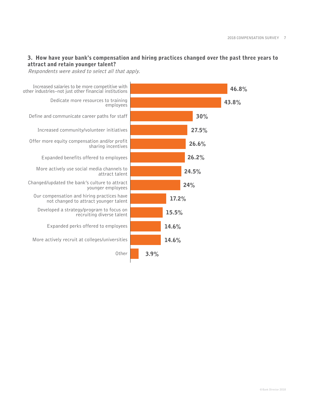### **3. How have your bank's compensation and hiring practices changed over the past three years to attract and retain younger talent?**

Respondents were asked to select all that apply.

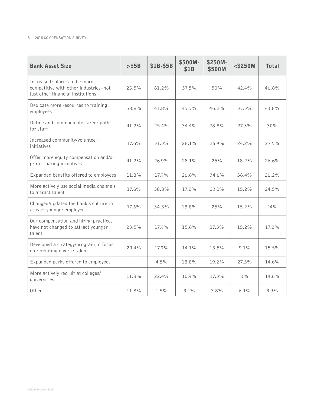| <b>Bank Asset Size</b>                                                                                      | $>$ \$5B                 | \$1B-\$5B | \$500M-<br>\$1B | \$250M-<br>\$500M | $<$ \$250M | <b>Total</b> |
|-------------------------------------------------------------------------------------------------------------|--------------------------|-----------|-----------------|-------------------|------------|--------------|
| Increased salaries to be more<br>competitive with other industries-not<br>just other financial institutions | 23.5%                    | 61.2%     | 37.5%           | 50%               | 42.4%      | 46.8%        |
| Dedicate more resources to training<br>employees                                                            | 58.8%                    | 41.8%     | 45.3%           | 46.2%             | 33.3%      | 43.8%        |
| Define and communicate career paths<br>for staff                                                            | 41.2%                    | 25.4%     | 34.4%           | 28.8%             | 27.3%      | 30%          |
| Increased community/volunteer<br>initiatives                                                                | 17.6%                    | 31.3%     | 28.1%           | 26.9%             | 24.2%      | 27.5%        |
| Offer more equity compensation and/or<br>profit sharing incentives                                          | 41.2%                    | 26.9%     | 28.1%           | 25%               | 18.2%      | 26.6%        |
| Expanded benefits offered to employees                                                                      | 11.8%                    | 17.9%     | 26.6%           | 34.6%             | 36.4%      | 26.2%        |
| More actively use social media channels<br>to attract talent                                                | 17.6%                    | 38.8%     | 17.2%           | 23.1%             | 15.2%      | 24.5%        |
| Changed/updated the bank's culture to<br>attract younger employees                                          | 17.6%                    | 34.3%     | 18.8%           | 25%               | 15.2%      | 24%          |
| Our compensation and hiring practices<br>have not changed to attract younger<br>talent                      | 23.5%                    | 17.9%     | 15.6%           | 17.3%             | 15.2%      | 17.2%        |
| Developed a strategy/program to focus<br>on recruiting diverse talent                                       | 29.4%                    | 17.9%     | 14.1%           | 13.5%             | 9.1%       | 15.5%        |
| Expanded perks offered to employees                                                                         | $\overline{\phantom{m}}$ | 4.5%      | 18.8%           | 19.2%             | 27.3%      | 14.6%        |
| More actively recruit at colleges/<br>universities                                                          | 11.8%                    | 22.4%     | 10.9%           | 17.3%             | 3%         | 14.6%        |
| Other                                                                                                       | 11.8%                    | 1.5%      | 3.1%            | 3.8%              | 6.1%       | 3.9%         |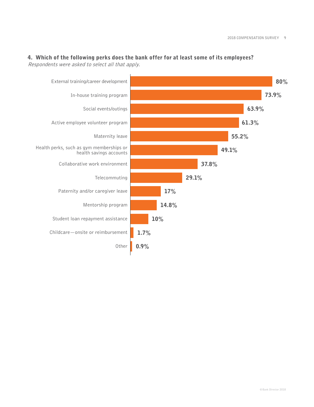

## **4. Which of the following perks does the bank offer for at least some of its employees?**  Respondents were asked to select all that apply.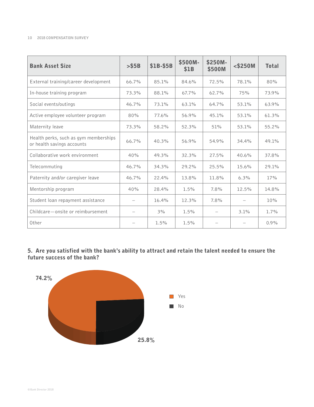| <b>Bank Asset Size</b>                                              | $>$ \$5B | \$1B-\$5B | \$500M-<br>\$1B | \$250M-<br>\$500M | $<$ \$250M | <b>Total</b> |
|---------------------------------------------------------------------|----------|-----------|-----------------|-------------------|------------|--------------|
| External training/career development                                | 66.7%    | 85.1%     | 84.6%           | 72.5%             | 78.1%      | 80%          |
| In-house training program                                           | 73.3%    | 88.1%     | 67.7%           | 62.7%             | 75%        | 73.9%        |
| Social events/outings                                               | 46.7%    | 73.1%     | 63.1%           | 64.7%             | 53.1%      | 63.9%        |
| Active employee volunteer program                                   | 80%      | 77.6%     | 56.9%           | 45.1%             | 53.1%      | 61.3%        |
| Maternity leave                                                     | 73.3%    | 58.2%     | 52.3%           | 51%               | 53.1%      | 55.2%        |
| Health perks, such as gym memberships<br>or health savings accounts | 66.7%    | 40.3%     | 56.9%           | 54.9%             | 34.4%      | 49.1%        |
| Collaborative work environment                                      | 40%      | 49.3%     | 32.3%           | 27.5%             | 40.6%      | 37.8%        |
| Telecommuting                                                       | 46.7%    | 34.3%     | 29.2%           | 25.5%             | 15.6%      | 29.1%        |
| Paternity and/or caregiver leave                                    | 46.7%    | 22.4%     | 13.8%           | 11.8%             | 6.3%       | 17%          |
| Mentorship program                                                  | 40%      | 28.4%     | 1.5%            | 7.8%              | 12.5%      | 14.8%        |
| Student loan repayment assistance                                   |          | 16.4%     | 12.3%           | 7.8%              |            | $10\%$       |
| Childcare – onsite or reimbursement                                 |          | 3%        | 1.5%            |                   | 3.1%       | $1.7\%$      |
| Other                                                               |          | 1.5%      | 1.5%            |                   |            | $0.9\%$      |

**5. Are you satisfied with the bank's ability to attract and retain the talent needed to ensure the future success of the bank?**

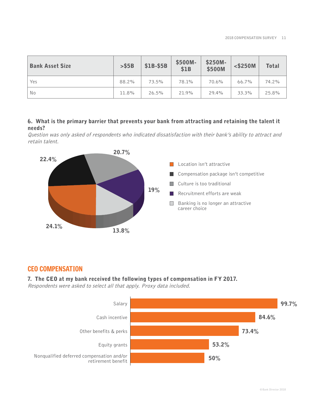| <b>Bank Asset Size</b> | $>$ \$5B | \$1B-\$5B | \$500M-<br>\$1B | \$250M-<br>\$500M | $<$ \$250M | <b>Total</b> |
|------------------------|----------|-----------|-----------------|-------------------|------------|--------------|
| Yes                    | 88.2%    | 73.5%     | 78.1%           | 70.6%             | 66.7%      | 74.2%        |
| No                     | 11.8%    | 26.5%     | 21.9%           | 29.4%             | 33.3%      | 25.8%        |

## **6. What is the primary barrier that prevents your bank from attracting and retaining the talent it needs?**

Question was only asked of respondents who indicated dissatisfaction with their bank's ability to attract and retain talent.



# CEO COMPENSATION

## **7. The CEO at my bank received the following types of compensation in FY 2017.**

Respondents were asked to select all that apply. Proxy data included.

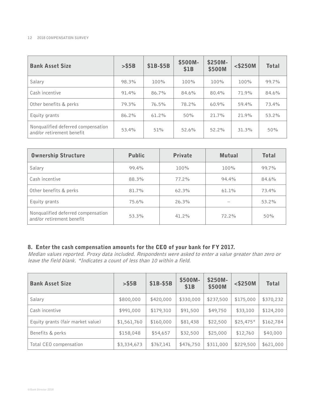| <b>Bank Asset Size</b>                                          | $>$ \$5B | \$1B-\$5B | \$500M-<br>\$1B | \$250M-<br>\$500M | $<$ \$250M | <b>Total</b> |
|-----------------------------------------------------------------|----------|-----------|-----------------|-------------------|------------|--------------|
| Salary                                                          | 98.3%    | 100%      | 100%            | 100%              | 100%       | 99.7%        |
| Cash incentive                                                  | 91.4%    | 86.7%     | 84.6%           | 80.4%             | 71.9%      | 84.6%        |
| Other benefits & perks                                          | 79.3%    | 76.5%     | 78.2%           | $60.9\%$          | 59.4%      | 73.4%        |
| Equity grants                                                   | 86.2%    | 61.2%     | 50%             | 21.7%             | 21.9%      | 53.2%        |
| Nonqualified deferred compensation<br>and/or retirement benefit | 53.4%    | 51%       | 52.6%           | 52.2%             | 31.3%      | 50%          |

| <b>Ownership Structure</b>                                      | <b>Public</b> | <b>Private</b> | <b>Mutual</b> | <b>Total</b> |
|-----------------------------------------------------------------|---------------|----------------|---------------|--------------|
| Salary                                                          | 99.4%         | 100%           | 100%          | 99.7%        |
| Cash incentive                                                  | 88.3%         | $77.2\%$       | 94.4%         | 84.6%        |
| Other benefits & perks                                          | 81.7%         | 62.3%          | 61.1%         | 73.4%        |
| Equity grants                                                   | 75.6%         | 26.3%          |               | 53.2%        |
| Nonqualified deferred compensation<br>and/or retirement benefit | 53.3%         | 41.2%          | $72.2\%$      | 50%          |

# **8. Enter the cash compensation amounts for the CEO of your bank for FY 2017.**

Median values reported. Proxy data included. Respondents were asked to enter a value greater than zero or leave the field blank. \*Indicates a count of less than 10 within a field.

| <b>Bank Asset Size</b>            | $>$ \$5B    | \$1B-\$5B | \$500M-<br>\$1B | \$250M-<br>\$500M | $<$ \$250M | <b>Total</b> |
|-----------------------------------|-------------|-----------|-----------------|-------------------|------------|--------------|
| Salary                            | \$800,000   | \$420,000 | \$330,000       | \$237,500         | \$175,000  | \$370,232    |
| Cash incentive                    | \$991,000   | \$179,310 | \$91,500        | \$49,750          | \$33,100   | \$124,200    |
| Equity grants (fair market value) | \$1,561,760 | \$160,000 | \$81,438        | \$22,500          | $$25,475*$ | \$162,784    |
| Benefits & perks                  | \$158,048   | \$54,657  | \$32,500        | \$25,000          | \$12,760   | \$40,000     |
| Total CEO compensation            | \$3,334,673 | \$767,141 | \$476,750       | \$311,000         | \$229,500  | \$621,000    |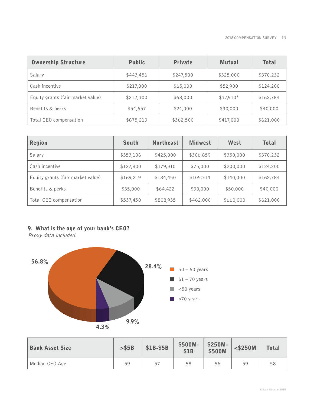| <b>Ownership Structure</b>        | <b>Public</b> | <b>Private</b> | <b>Mutual</b> | <b>Total</b> |
|-----------------------------------|---------------|----------------|---------------|--------------|
| Salary                            | \$443,456     | \$247,500      | \$325,000     | \$370,232    |
| Cash incentive                    | \$217,000     | \$65,000       | \$52,900      | \$124,200    |
| Equity grants (fair market value) | \$212,300     | \$68,000       | \$37,910*     | \$162,784    |
| Benefits & perks                  | \$54,657      | \$24,000       | \$30,000      | \$40,000     |
| Total CEO compensation            | \$875,213     | \$362,500      | \$417,000     | \$621,000    |

| <b>Region</b>                     | <b>South</b> | <b>Northeast</b> | <b>Midwest</b> | West      | <b>Total</b> |
|-----------------------------------|--------------|------------------|----------------|-----------|--------------|
| Salary                            | \$353,106    | \$425,000        | \$306,859      | \$350,000 | \$370,232    |
| Cash incentive                    | \$127,800    | \$179,310        | \$75,000       | \$200,000 | \$124,200    |
| Equity grants (fair market value) | \$169,219    | \$184,450        | \$105,314      | \$140,000 | \$162,784    |
| Benefits & perks                  | \$35,000     | \$64,422         | \$30,000       | \$50,000  | \$40,000     |
| Total CEO compensation            | \$537,450    | \$808,935        | \$462,000      | \$660,000 | \$621,000    |

# **9. What is the age of your bank's CEO?**

Proxy data included.



| <b>Bank Asset Size</b> | $>$ \$5B | \$1B-\$5B | \$500M-<br>\$1B | \$250M-<br>\$500M | $<$ \$250M | <b>Total</b> |
|------------------------|----------|-----------|-----------------|-------------------|------------|--------------|
| Median CEO Age         | 59       | 57        | 58              | 56                | 59         | 58           |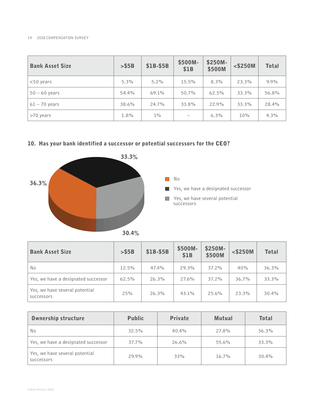| <b>Bank Asset Size</b> | > \$5B | \$1B-\$5B | \$500M-<br>\$1B | \$250M-<br>\$500M | $<$ \$250M | <b>Total</b> |
|------------------------|--------|-----------|-----------------|-------------------|------------|--------------|
| $<$ 50 years           | 5.3%   | $5.2\%$   | 15.5%           | 8.3%              | 23.3%      | 9.9%         |
| $50 - 60$ years        | 54.4%  | 69.1%     | 50.7%           | 62.5%             | 33.3%      | 56.8%        |
| $61 - 70$ years        | 38.6%  | 24.7%     | 33.8%           | 22.9%             | 33.3%      | 28.4%        |
| >70 years              | 1.8%   | $1\%$     |                 | 6.3%              | 10%        | 4.3%         |

# **10. Has your bank identified a successor or potential successors for the CEO?**



| <b>Bank Asset Size</b>                       | $>$ \$5B | \$1B-\$5B | \$500M-<br>\$1B | \$250M-<br>\$500M | $<$ \$250M | <b>Total</b> |
|----------------------------------------------|----------|-----------|-----------------|-------------------|------------|--------------|
| No                                           | 12.5%    | 47.4%     | 29.3%           | 37.2%             | 40%        | 36.3%        |
| Yes, we have a designated successor          | 62.5%    | 26.3%     | 27.6%           | 37.2%             | 36.7%      | 33.3%        |
| Yes, we have several potential<br>SUCCESSOMS | 25%      | 26.3%     | 43.1%           | $25.6\%$          | 23.3%      | 30.4%        |

| <b>Ownership structure</b>                   | <b>Public</b> | <b>Private</b> | <b>Mutual</b> | <b>Total</b> |
|----------------------------------------------|---------------|----------------|---------------|--------------|
| No                                           | 32.5%         | 40.4%          | 27.8%         | 36.3%        |
| Yes, we have a designated successor          | 37.7%         | 26.6%          | 55.6%         | 33.3%        |
| Yes, we have several potential<br>SUCCESSOMS | 29.9%         | 33%            | $16.7\%$      | $30.4\%$     |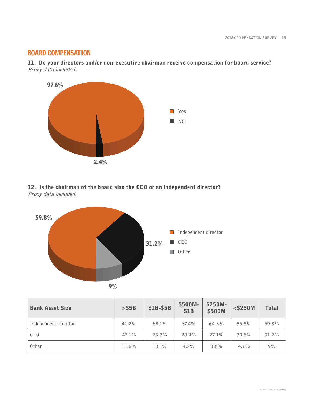# BOARD COMPENSATION

**11. Do your directors and/or non-executive chairman receive compensation for board service?** Proxy data included.



# **12. Is the chairman of the board also the CEO or an independent director?** Proxy data included.



| <b>Bank Asset Size</b> | $>$ \$5B | \$1B-\$5B | \$500M-<br>\$1B | \$250M-<br>\$500M | $<$ \$250M | <b>Total</b> |
|------------------------|----------|-----------|-----------------|-------------------|------------|--------------|
| Independent director   | 41.2%    | 63.1%     | 67.4%           | 64.3%             | 55.8%      | 59.8%        |
| CEO                    | 47.1%    | 23.8%     | 28.4%           | 27.1%             | 39.5%      | 31.2%        |
| Other                  | 11.8%    | 13.1%     | $4.2\%$         | $8.6\%$           | $4.7\%$    | 9%           |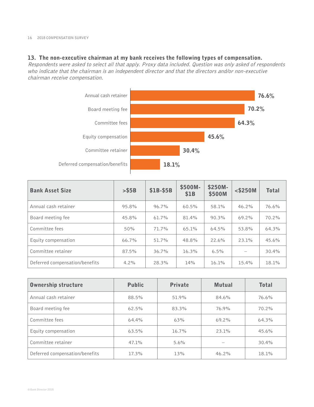### **13. The non-executive chairman at my bank receives the following types of compensation.**

Respondents were asked to select all that apply. Proxy data included. Question was only asked of respondents who indicate that the chairman is an independent director and that the directors and/or non-executive chairman receive compensation.



| <b>Bank Asset Size</b>         | $>$ \$5B | \$1B-\$5B | \$500M-<br>\$1B | \$250M-<br>\$500M | $<$ \$250M | <b>Total</b> |
|--------------------------------|----------|-----------|-----------------|-------------------|------------|--------------|
| Annual cash retainer           | 95.8%    | 96.7%     | 60.5%           | 58.1%             | 46.2%      | 76.6%        |
| Board meeting fee              | 45.8%    | 61.7%     | 81.4%           | 90.3%             | $69.2\%$   | 70.2%        |
| Committee fees                 | 50%      | 71.7%     | 65.1%           | 64.5%             | 53.8%      | 64.3%        |
| Equity compensation            | $66.7\%$ | 51.7%     | 48.8%           | 22.6%             | 23.1%      | 45.6%        |
| Committee retainer             | 87.5%    | $36.7\%$  | 16.3%           | 6.5%              |            | 30.4%        |
| Deferred compensation/benefits | $4.2\%$  | 28.3%     | 14%             | $16.1\%$          | 15.4%      | 18.1%        |

| <b>Ownership structure</b>     | <b>Public</b> | <b>Private</b> | <b>Mutual</b> | <b>Total</b> |
|--------------------------------|---------------|----------------|---------------|--------------|
| Annual cash retainer           | 88.5%         | 51.9%          | 84.6%         | 76.6%        |
| Board meeting fee              | 62.5%         | 83.3%          | 76.9%         | 70.2%        |
| Committee fees                 | 64.4%         | 63%            | 69.2%         | 64.3%        |
| Equity compensation            | 63.5%         | $16.7\%$       | 23.1%         | 45.6%        |
| Committee retainer             | 47.1%         | $5.6\%$        |               | 30.4%        |
| Deferred compensation/benefits | 17.3%         | 13%            | 46.2%         | 18.1%        |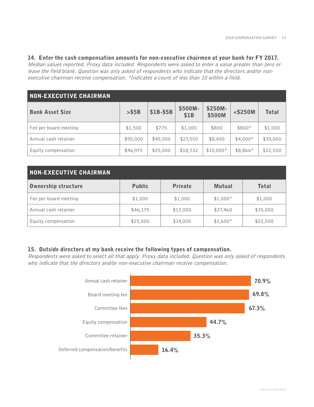### **14. Enter the cash compensation amounts for non-executive chairmen at your bank for FY 2017.**

Median values reported. Proxy data included. Respondents were asked to enter a value greater than zero or leave the field blank. Question was only asked of respondents who indicate that the directors and/or nonexecutive chairman receive compensation. \*Indicates a count of less than 10 within a field.

| <b>NON-EXECUTIVE CHAIRMAN</b> |          |           |                 |                   |            |              |
|-------------------------------|----------|-----------|-----------------|-------------------|------------|--------------|
| <b>Bank Asset Size</b>        | > \$5B   | \$1B-\$5B | \$500M-<br>\$1B | \$250M-<br>\$500M | $<$ \$250M | <b>Total</b> |
| Fee per board meeting         | \$1,500  | \$775     | \$1,000         | \$800             | \$800*     | \$1,000      |
| Annual cash retainer          | \$95,000 | \$45,000  | \$27,550        | \$8,400           | $$4,000*$  | \$35,000     |
| Equity compensation           | \$46,975 | \$25,000  | \$18,532        | $$10,000*$        | \$8,866*   | \$22,500     |

| <b>NON-EXECUTIVE CHAIRMAN</b> |               |                |               |              |  |  |  |  |  |  |
|-------------------------------|---------------|----------------|---------------|--------------|--|--|--|--|--|--|
| Ownership structure           | <b>Public</b> | <b>Private</b> | <b>Mutual</b> | <b>Total</b> |  |  |  |  |  |  |
| Fee per board meeting         | \$1,000       | \$1,000        | $$1,000*$     | \$1,000      |  |  |  |  |  |  |
| Annual cash retainer          | \$46,175      | \$12,000       | \$27,460      | \$35,000     |  |  |  |  |  |  |
| Equity compensation           | \$25,000      | \$14,000       | $$2,600*$     | \$22,500     |  |  |  |  |  |  |

### **15. Outside directors at my bank receive the following types of compensation.**

Respondents were asked to select all that apply. Proxy data included. Question was only asked of respondents who indicate that the directors and/or non-executive chairman receive compensation.

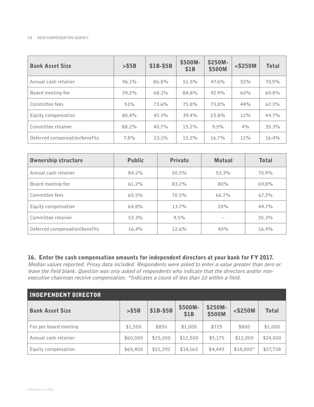| <b>Bank Asset Size</b>         | $>$ \$5B | \$1B-\$5B | \$500M-<br>\$1B | \$250M-<br>\$500M | $<$ \$250M | <b>Total</b> |
|--------------------------------|----------|-----------|-----------------|-------------------|------------|--------------|
| Annual cash retainer           | 96.1%    | 86.8%     | 51.5%           | 47.6%             | 52%        | 70.9%        |
| Board meeting fee              | 39.2%    | 68.1%     | 84.8%           | 92.9%             | 60%        | 69.8%        |
| Committee fees                 | 51%      | 73.6%     | 75.8%           | 73.8%             | 44%        | 67.3%        |
| Equity compensation            | 80.4%    | 47.3%     | 39.4%           | 23.8%             | 12%        | 44.7%        |
| Committee retainer             | 88.2%    | 40.7%     | 15.2%           | 9.5%              | 4%         | 35.3%        |
| Deferred compensation/benefits | 7.8%     | 23.1%     | 15.2%           | $16.7\%$          | 12%        | 16.4%        |

| <b>Ownership structure</b>     | <b>Public</b> | <b>Private</b> | <b>Mutual</b> | <b>Total</b> |
|--------------------------------|---------------|----------------|---------------|--------------|
| Annual cash retainer           | 84.2%         | $50.5\%$       | 53.3%         | 70.9%        |
| Board meeting fee              | 61.2%         | 83.2%          | 80%           | 69.8%        |
| Committee fees                 | $65.5\%$      | 70.5%          | 66.7%         | 67.3%        |
| Equity compensation            | 64.8%         | 13.7%          | 20%           | 44.7%        |
| Committee retainer             | 53.3%         | $9.5\%$        |               | 35.3%        |
| Deferred compensation/benefits | 16.4%         | 12.6%          | 40%           | 16.4%        |

# **16. Enter the cash compensation amounts for independent directors at your bank for FY 2017.**

Median values reported. Proxy data included. Respondents were asked to enter a value greater than zero or leave the field blank. Question was only asked of respondents who indicate that the directors and/or nonexecutive chairman receive compensation. \*Indicates a count of less than 10 within a field.

| <b>INDEPENDENT DIRECTOR</b> |          |           |                 |                   |            |              |  |  |  |  |
|-----------------------------|----------|-----------|-----------------|-------------------|------------|--------------|--|--|--|--|
| <b>Bank Asset Size</b>      | > \$5B   | \$1B-\$5B | \$500M-<br>\$1B | \$250M-<br>\$500M | $<$ \$250M | <b>Total</b> |  |  |  |  |
| Fee per board meeting       | \$1,500  | \$850     | \$1,000         | \$725             | \$800      | \$1,000      |  |  |  |  |
| Annual cash retainer        | \$60,000 | \$25,000  | \$12,500        | \$5,175           | \$12,000   | \$24,000     |  |  |  |  |
| Equity compensation         | \$65,450 | \$21,292  | \$14,160        | \$4,443           | $$14,000*$ | \$27,738     |  |  |  |  |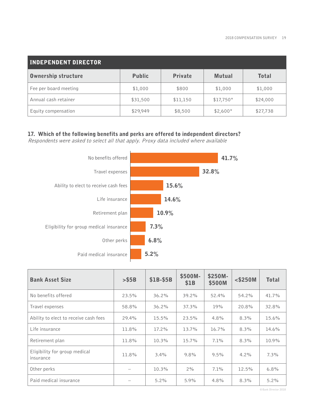| <b>INDEPENDENT DIRECTOR</b> |               |                |               |              |  |  |  |  |  |  |
|-----------------------------|---------------|----------------|---------------|--------------|--|--|--|--|--|--|
| <b>Ownership structure</b>  | <b>Public</b> | <b>Private</b> | <b>Mutual</b> | <b>Total</b> |  |  |  |  |  |  |
| Fee per board meeting       | \$1,000       | \$800          | \$1,000       | \$1,000      |  |  |  |  |  |  |
| Annual cash retainer        | \$31,500      | \$11,150       | $$17,750*$    | \$24,000     |  |  |  |  |  |  |
| Equity compensation         | \$29,949      | \$8,500        | $$2,600*$     | \$27,738     |  |  |  |  |  |  |

# **17. Which of the following benefits and perks are offered to independent directors?**

Respondents were asked to select all that apply. Proxy data included where available



| <b>Bank Asset Size</b>                     | $>$ \$5B | \$1B-\$5B | \$500M-<br>\$1B | \$250M-<br>\$500M | $<$ \$250M | <b>Total</b> |
|--------------------------------------------|----------|-----------|-----------------|-------------------|------------|--------------|
| No benefits offered                        | 23.5%    | 36.2%     | 39.2%           | 52.4%             | 54.2%      | 41.7%        |
| Travel expenses                            | 58.8%    | 36.2%     | 37.3%           | 19%               | 20.8%      | 32.8%        |
| Ability to elect to receive cash fees      | 29.4%    | 15.5%     | 23.5%           | 4.8%              | 8.3%       | 15.6%        |
| Life insurance                             | 11.8%    | $17.2\%$  | 13.7%           | 16.7%             | 8.3%       | 14.6%        |
| Retirement plan                            | 11.8%    | 10.3%     | 15.7%           | 7.1%              | 8.3%       | 10.9%        |
| Eligibility for group medical<br>insurance | 11.8%    | 3.4%      | 9.8%            | 9.5%              | $4.2\%$    | 7.3%         |
| Other perks                                |          | 10.3%     | 2%              | 7.1%              | 12.5%      | 6.8%         |
| Paid medical insurance                     |          | 5.2%      | 5.9%            | 4.8%              | 8.3%       | $5.2\%$      |

**© Bank Director 2018**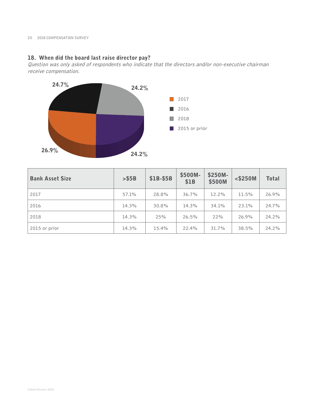# **18. When did the board last raise director pay?**

Question was only asked of respondents who indicate that the directors and/or non-executive chairman receive compensation.



| <b>Bank Asset Size</b> | > \$5B | \$1B-\$5B | \$500M-<br>\$1B | \$250M-<br>\$500M | $<$ \$250M | <b>Total</b> |
|------------------------|--------|-----------|-----------------|-------------------|------------|--------------|
| 2017                   | 57.1%  | 28.8%     | 36.7%           | 12.2%             | 11.5%      | 26.9%        |
| 2016                   | 14.3%  | 30.8%     | 14.3%           | 34.1%             | 23.1%      | 24.7%        |
| 2018                   | 14.3%  | 25%       | 26.5%           | 22%               | 26.9%      | 24.2%        |
| 2015 or prior          | 14.3%  | 15.4%     | 22.4%           | 31.7%             | 38.5%      | 24.2%        |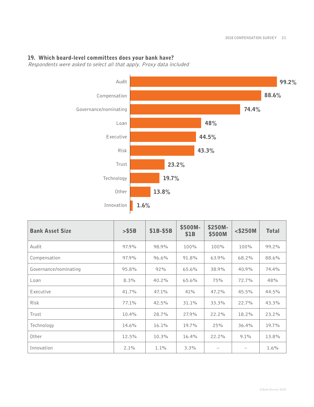# **19. Which board-level committees does your bank have?**

Respondents were asked to select all that apply. Proxy data included



| <b>Bank Asset Size</b> | > \$5B | \$1B-\$5B | \$500M-<br>\$1B | \$250M-<br>\$500M | $<$ \$250M | <b>Total</b> |
|------------------------|--------|-----------|-----------------|-------------------|------------|--------------|
| Audit                  | 97.9%  | 98.9%     | 100%            | 100%              | 100%       | 99.2%        |
| Compensation           | 97.9%  | 96.6%     | 91.8%           | 63.9%             | 68.2%      | 88.6%        |
| Governance/nominating  | 95.8%  | 92%       | 65.6%           | 38.9%             | 40.9%      | 74.4%        |
| Loan                   | 8.3%   | 40.2%     | 65.6%           | 75%               | 72.7%      | 48%          |
| Executive              | 41.7%  | 47.1%     | 41%             | 47.2%             | 45.5%      | 44.5%        |
| <b>Risk</b>            | 77.1%  | 42.5%     | 31.1%           | 33.3%             | 22.7%      | 43.3%        |
| Trust                  | 10.4%  | 28.7%     | 27.9%           | 22.2%             | 18.2%      | 23.2%        |
| Technology             | 14.6%  | 16.1%     | 19.7%           | 25%               | 36.4%      | 19.7%        |
| Other                  | 12.5%  | 10.3%     | 16.4%           | 22.2%             | $9.1\%$    | 13.8%        |
| Innovation             | 2.1%   | $1.1\%$   | $3.3\%$         |                   |            | 1.6%         |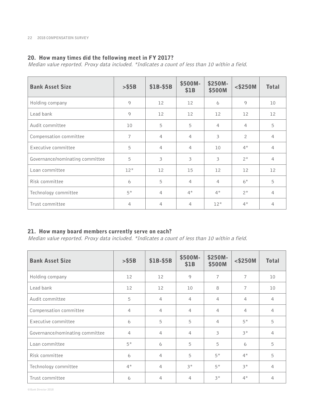# **20. How many times did the following meet in FY 2017?**

Median value reported. Proxy data included. \*Indicates a count of less than 10 within a field.

| <b>Bank Asset Size</b>          | > \$5B | \$1B-\$5B         | \$500M-<br>\$1B | \$250M-<br>\$500M | $<$ \$250M     | <b>Total</b>      |
|---------------------------------|--------|-------------------|-----------------|-------------------|----------------|-------------------|
| Holding company                 | 9      | 12                | 12              | 6                 | 9              | 10                |
| Lead bank                       | 9      | $12 \overline{ }$ | 12              | $12 \overline{ }$ | 12             | $12 \overline{ }$ |
| Audit committee                 | 10     | 5                 | 5               | $\overline{4}$    | 4              | 5                 |
| Compensation committee          | 7      | $\overline{4}$    | $\overline{4}$  | 3                 | $\overline{2}$ | $\overline{4}$    |
| Executive committee             | 5      | 4                 | $\overline{4}$  | 10                | $4*$           | $\overline{4}$    |
| Governance/nominating committee | 5      | $\mathfrak{Z}$    | 3               | 3                 | $2^*$          | $\overline{4}$    |
| Loan committee                  | $12*$  | 12                | 15              | 12                | 12             | 12                |
| Risk committee                  | 6      | 5                 | $\overline{4}$  | 4                 | $6*$           | 5                 |
| Technology committee            | $5*$   | 4                 | $4*$            | $4*$              | $2^*$          | $\overline{4}$    |
| Trust committee                 | 4      | 4                 | 4               | $12*$             | $4*$           | 4                 |

# **21. How many board members currently serve on each?**

Median value reported. Proxy data included. \*Indicates a count of less than 10 within a field.

| <b>Bank Asset Size</b>          | $>$ \$5B       | \$1B-\$5B      | \$500M-<br>\$1B | \$250M-<br>\$500M | $<$ \$250M     | <b>Total</b>   |
|---------------------------------|----------------|----------------|-----------------|-------------------|----------------|----------------|
| Holding company                 | 12             | 12             | 9               | $\overline{7}$    | $\overline{7}$ | 10             |
| Lead bank                       | 12             | 12             | 10              | 8                 | $\overline{7}$ | 10             |
| Audit committee                 | 5              | $\overline{4}$ | $\overline{4}$  | $\overline{4}$    | 4              | $\overline{4}$ |
| Compensation committee          | 4              | $\overline{4}$ | $\overline{4}$  | $\overline{4}$    | $\overline{4}$ | $\overline{4}$ |
| Executive committee             | 6              | 5              | 5               | 4                 | $5*$           | 5              |
| Governance/nominating committee | $\overline{4}$ | $\overline{4}$ | 4               | 3                 | $3*$           | $\overline{4}$ |
| Loan committee                  | $5*$           | 6              | 5               | 5                 | 6              | 5              |
| Risk committee                  | 6              | $\overline{4}$ | 5               | $5*$              | $4^*$          | 5              |
| Technology committee            | $4*$           | $\overline{4}$ | $3*$            | $5*$              | $3*$           | $\overline{4}$ |
| Trust committee                 | 6              | $\overline{4}$ | 4               | $3*$              | $4^*$          | 4              |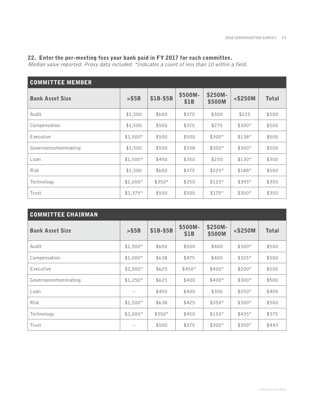### **22. Enter the per-meeting fees your bank paid in FY 2017 for each committee.**

Median value reported. Proxy data included. \*Indicates a count of less than 10 within a field.

| <b>COMMITTEE MEMBER</b> |           |           |                 |                   |            |              |  |  |  |
|-------------------------|-----------|-----------|-----------------|-------------------|------------|--------------|--|--|--|
| <b>Bank Asset Size</b>  | > \$5B    | \$1B-\$5B | \$500M-<br>\$1B | \$250M-<br>\$500M | $<$ \$250M | <b>Total</b> |  |  |  |
| Audit                   | \$1,500   | \$600     | \$375           | \$300             | \$225      | \$500        |  |  |  |
| Compensation            | \$1,500   | \$500     | \$375           | \$275             | $$300*$    | \$500        |  |  |  |
| Executive               | $$1,500*$ | \$500     | \$500           | $$300*$           | $$138*$    | \$500        |  |  |  |
| Governance/nominating   | \$1,500   | \$500     | \$338           | $$300*$           | $$300*$    | \$500        |  |  |  |
| Loan                    | $$1,500*$ | \$450     | \$350           | \$250             | $$130*$    | \$300        |  |  |  |
| Risk                    | \$1,500   | \$600     | \$375           | $$225*$           | \$188*     | \$500        |  |  |  |
| Technology              | $$2,000*$ | $$350*$   | \$250           | $$125*$           | $$393*$    | \$350        |  |  |  |
| Trust                   | $$1,375*$ | \$500     | \$300           | $$175*$           | $$350*$    | \$350        |  |  |  |

| <b>COMMITTEE CHAIRMAN</b> |           |           |                 |                   |            |              |  |  |
|---------------------------|-----------|-----------|-----------------|-------------------|------------|--------------|--|--|
| <b>Bank Asset Size</b>    | > \$5B    | \$1B-\$5B | \$500M-<br>\$1B | \$250M-<br>\$500M | $<$ \$250M | <b>Total</b> |  |  |
| Audit                     | $$1,500*$ | \$650     | \$500           | \$400             | $$300*$    | \$500        |  |  |
| Compensation              | $$1,000*$ | \$638     | \$475           | \$400             | $$325*$    | \$500        |  |  |
| Executive                 | $$2,000*$ | \$625     | $$450*$         | $$400*$           | $$200*$    | \$500        |  |  |
| Governance/nominating     | $$1,250*$ | \$625     | \$400           | $$400*$           | $$300*$    | \$500        |  |  |
| Loan                      |           | \$450     | \$400           | \$300             | $$250*$    | \$400        |  |  |
| <b>Risk</b>               | $$1,500*$ | \$638     | \$425           | $$350*$           | $$300*$    | \$500        |  |  |
| Technology                | $$2,000*$ | $$350*$   | \$450           | $$150*$           | $$435*$    | \$375        |  |  |
| Trust                     |           | \$500     | \$375           | $$300*$           | $$350*$    | \$443        |  |  |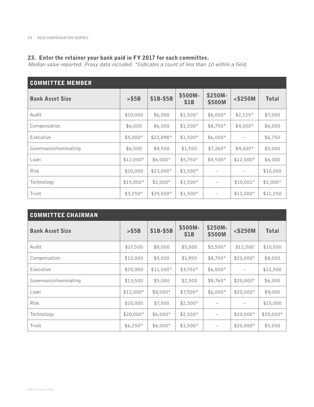### **23. Enter the retainer your bank paid in FY 2017 for each committee.**

Median value reported. Proxy data included. \*Indicates a count of less than 10 within a field.

| <b>COMMITTEE MEMBER</b> |            |            |                 |                   |            |              |  |  |
|-------------------------|------------|------------|-----------------|-------------------|------------|--------------|--|--|
| <b>Bank Asset Size</b>  | $>$ \$5B   | \$1B-\$5B  | \$500M-<br>\$1B | \$250M-<br>\$500M | $<$ \$250M | <b>Total</b> |  |  |
| Audit                   | \$10,000   | \$6,000    | $$1,500*$       | $$6,000*$         | $$2,125*$  | \$7,500      |  |  |
| Compensation            | \$6,000    | \$6,000    | $$1,500*$       | $$8,750*$         | $$4,000*$  | \$6,000      |  |  |
| Executive               | $$5,000*$  | $$22,898*$ | $$1,500*$       | $$6,000*$         |            | \$6,750      |  |  |
| Governance/nominating   | \$6,500    | \$4,500    | \$1,500         | $$7,260*$         | $$4,000*$  | \$5,000      |  |  |
| Loan                    | $$12,000*$ | $$6,000*$  | $$5,750*$       | $$4,500*$         | $$12,000*$ | \$6,000      |  |  |
| <b>Risk</b>             | \$10,000   | $$23,000*$ | $$1,500*$       |                   |            | \$10,000     |  |  |
| Technology              | $$15,000*$ | $$2,000*$  | $$1,500*$       |                   | $$10,001*$ | $$2,000*$    |  |  |
| Trust                   | $$3,250*$  | $$19,500*$ | $$1,500*$       |                   | $$12,000*$ | \$11,250     |  |  |

| <b>COMMITTEE CHAIRMAN</b> |            |            |                 |                          |            |              |  |  |
|---------------------------|------------|------------|-----------------|--------------------------|------------|--------------|--|--|
| <b>Bank Asset Size</b>    | > \$5B     | \$1B-\$5B  | \$500M-<br>\$1B | \$250M-<br>\$500M        | $<$ \$250M | <b>Total</b> |  |  |
| Audit                     | \$17,500   | \$8,000    | \$5,000         | $$5,500*$                | \$12,000   | \$10,000     |  |  |
| Compensation              | \$12,000   | \$5,000    | \$1,950         | $$8,750*$                | $$20,000*$ | \$8,000      |  |  |
| Executive                 | \$20,000   | $$11,500*$ | $$3,750*$       | $$6,000*$                |            | \$12,500     |  |  |
| Governance/nominating     | \$13,500   | \$5,000    | \$2,500         | $$8,760*$                | $$20,000*$ | \$6,000      |  |  |
| Loan                      | $$12,000*$ | $$8,000*$  | $$7,500*$       | $$6,000*$                | $$20,000*$ | \$9,000      |  |  |
| <b>Risk</b>               | \$20,000   | \$7,500    | $$2,500*$       |                          |            | \$15,000     |  |  |
| Technology                | $$20,000*$ | $$6,000*$  | $$2,500*$       | $\overline{\phantom{m}}$ | $$20,000*$ | $$20,000*$   |  |  |
| Trust                     | $$6,250*$  | $$6,000*$  | $$1,500*$       |                          | $$20,000*$ | \$5,500      |  |  |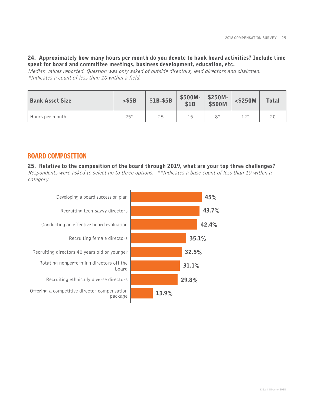### **24. Approximately how many hours per month do you devote to bank board activities? Include time spent for board and committee meetings, business development, education, etc.**

Median values reported. Question was only asked of outside directors, lead directors and chairmen. \*Indicates a count of less than 10 within a field.

| <b>Bank Asset Size</b> | > \$5B | \$1B-\$5B | \$500M-<br>\$1B | $\frac{$250M}{500M}$ | $<$ \$250M | <b>Total</b> |
|------------------------|--------|-----------|-----------------|----------------------|------------|--------------|
| Hours per month        | $25*$  | 25        | 15 <sub>1</sub> | 8*                   | 1つ*        |              |

# BOARD COMPOSITION

**25. Relative to the composition of the board through 2019, what are your top three challenges?** Respondents were asked to select up to three options. \*\*Indicates a base count of less than 10 within a category.

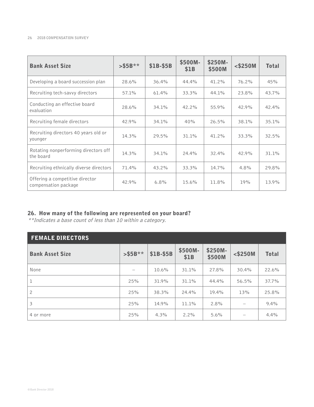| <b>Bank Asset Size</b>                                  | $>$ \$5B** | \$1B-\$5B | \$500M-<br>\$1B | \$250M-<br>\$500M | $<$ \$250M | <b>Total</b> |
|---------------------------------------------------------|------------|-----------|-----------------|-------------------|------------|--------------|
| Developing a board succession plan                      | 28.6%      | 36.4%     | 44.4%           | 41.2%             | 76.2%      | 45%          |
| Recruiting tech-savvy directors                         | 57.1%      | 61.4%     | 33.3%           | 44.1%             | 23.8%      | 43.7%        |
| Conducting an effective board<br>evaluation             | 28.6%      | 34.1%     | 42.2%           | 55.9%             | 42.9%      | 42.4%        |
| Recruiting female directors                             | 42.9%      | 34.1%     | 40%             | 26.5%             | 38.1%      | 35.1%        |
| Recruiting directors 40 years old or<br>younger         | 14.3%      | 29.5%     | 31.1%           | 41.2%             | 33.3%      | 32.5%        |
| Rotating nonperforming directors off<br>the board       | 14.3%      | 34.1%     | 24.4%           | 32.4%             | 42.9%      | 31.1%        |
| Recruiting ethnically diverse directors                 | 71.4%      | $43.2\%$  | 33.3%           | 14.7%             | 4.8%       | 29.8%        |
| Offering a competitive director<br>compensation package | 42.9%      | 6.8%      | 15.6%           | 11.8%             | 19%        | 13.9%        |

### **26. How many of the following are represented on your board?**

\*\*Indicates a base count of less than 10 within a category.

| <b>FEMALE DIRECTORS</b> |            |           |                 |                   |                                       |              |  |  |
|-------------------------|------------|-----------|-----------------|-------------------|---------------------------------------|--------------|--|--|
| <b>Bank Asset Size</b>  | $>$ \$5B** | \$1B-\$5B | \$500M-<br>\$1B | \$250M-<br>\$500M | $<$ \$250M                            | <b>Total</b> |  |  |
| None                    |            | 10.6%     | 31.1%           | 27.8%             | 30.4%                                 | 22.6%        |  |  |
| ı                       | 25%        | 31.9%     | 31.1%           | 44.4%             | 56.5%                                 | 37.7%        |  |  |
| $\overline{c}$          | 25%        | 38.3%     | 24.4%           | 19.4%             | 13%                                   | 25.8%        |  |  |
| 3                       | 25%        | 14.9%     | 11.1%           | 2.8%              | $\hspace{1.0cm} \rule{1.5cm}{0.15cm}$ | 9.4%         |  |  |
| 4 or more               | 25%        | 4.3%      | $2.2\%$         | 5.6%              |                                       | 4.4%         |  |  |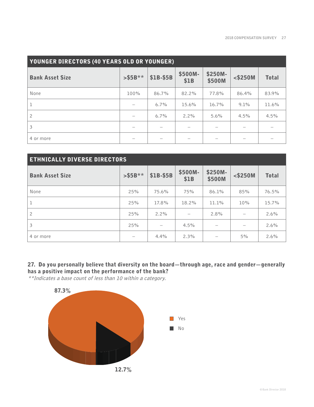| <b>YOUNGER DIRECTORS (40 YEARS OLD OR YOUNGER)</b> |            |           |                 |                   |            |              |  |
|----------------------------------------------------|------------|-----------|-----------------|-------------------|------------|--------------|--|
| <b>Bank Asset Size</b>                             | $>$ \$5B** | \$1B-\$5B | \$500M-<br>\$1B | \$250M-<br>\$500M | $<$ \$250M | <b>Total</b> |  |
| None                                               | 100%       | 86.7%     | 82.2%           | 77.8%             | 86.4%      | 83.9%        |  |
|                                                    |            | $6.7\%$   | 15.6%           | 16.7%             | $9.1\%$    | 11.6%        |  |
| $\overline{c}$                                     |            | 6.7%      | $2.2\%$         | 5.6%              | 4.5%       | 4.5%         |  |
| 3                                                  |            |           |                 |                   |            |              |  |
| 4 or more                                          |            |           |                 |                   |            |              |  |

| <b>ETHNICALLY DIVERSE DIRECTORS</b> |                          |                          |                 |                          |            |              |  |
|-------------------------------------|--------------------------|--------------------------|-----------------|--------------------------|------------|--------------|--|
| <b>Bank Asset Size</b>              | $>$ \$5B**               | \$1B-\$5B                | \$500M-<br>\$1B | \$250M-<br>\$500M        | $<$ \$250M | <b>Total</b> |  |
| None                                | 25%                      | 75.6%                    | 75%             | 86.1%                    | 85%        | 76.5%        |  |
| $\mathbf{1}$                        | 25%                      | 17.8%                    | 18.2%           | 11.1%                    | 10%        | 15.7%        |  |
| $\overline{c}$                      | 25%                      | 2.2%                     |                 | 2.8%                     |            | 2.6%         |  |
| 3                                   | 25%                      | $\overline{\phantom{0}}$ | 4.5%            | $\overline{\phantom{m}}$ |            | 2.6%         |  |
| 4 or more                           | $\overline{\phantom{m}}$ | 4.4%                     | 2.3%            |                          | 5%         | 2.6%         |  |

# **27. Do you personally believe that diversity on the board—through age, race and gender—generally has a positive impact on the performance of the bank?**

\*\*Indicates a base count of less than 10 within a category.

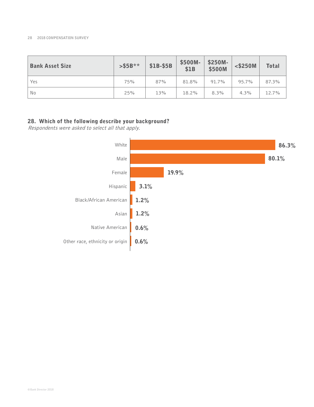| <b>Bank Asset Size</b> | $>$ \$5B** | \$1B-\$5B | \$500M-<br>\$1B | \$250M-<br>\$500M | $<$ \$250M | <b>Total</b> |
|------------------------|------------|-----------|-----------------|-------------------|------------|--------------|
| Yes                    | 75%        | 87%       | 81.8%           | 91.7%             | 95.7%      | 87.3%        |
| No                     | 25%        | 13%       | 18.2%           | 8.3%              | 4.3%       | 12.7%        |

# **28. Which of the following describe your background?**

Respondents were asked to select all that apply.